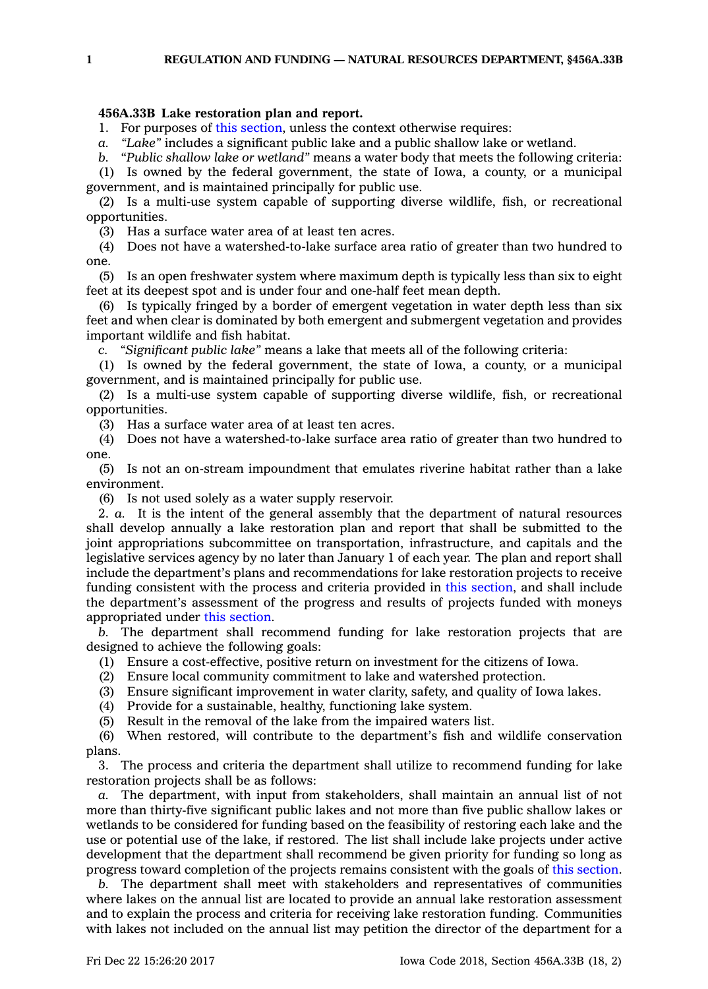## **456A.33B Lake restoration plan and report.**

1. For purposes of this [section](https://www.legis.iowa.gov/docs/code/456A.33B.pdf), unless the context otherwise requires:

*a. "Lake"* includes <sup>a</sup> significant public lake and <sup>a</sup> public shallow lake or wetland.

*b.* "*Public shallow lake or wetland"* means <sup>a</sup> water body that meets the following criteria:

(1) Is owned by the federal government, the state of Iowa, <sup>a</sup> county, or <sup>a</sup> municipal government, and is maintained principally for public use.

(2) Is <sup>a</sup> multi-use system capable of supporting diverse wildlife, fish, or recreational opportunities.

(3) Has <sup>a</sup> surface water area of at least ten acres.

(4) Does not have <sup>a</sup> watershed-to-lake surface area ratio of greater than two hundred to one.

(5) Is an open freshwater system where maximum depth is typically less than six to eight feet at its deepest spot and is under four and one-half feet mean depth.

(6) Is typically fringed by <sup>a</sup> border of emergent vegetation in water depth less than six feet and when clear is dominated by both emergent and submergent vegetation and provides important wildlife and fish habitat.

*c. "Significant public lake"* means <sup>a</sup> lake that meets all of the following criteria:

(1) Is owned by the federal government, the state of Iowa, <sup>a</sup> county, or <sup>a</sup> municipal government, and is maintained principally for public use.

(2) Is <sup>a</sup> multi-use system capable of supporting diverse wildlife, fish, or recreational opportunities.

(3) Has <sup>a</sup> surface water area of at least ten acres.

(4) Does not have <sup>a</sup> watershed-to-lake surface area ratio of greater than two hundred to one.

(5) Is not an on-stream impoundment that emulates riverine habitat rather than <sup>a</sup> lake environment.

(6) Is not used solely as <sup>a</sup> water supply reservoir.

2. *a.* It is the intent of the general assembly that the department of natural resources shall develop annually <sup>a</sup> lake restoration plan and report that shall be submitted to the joint appropriations subcommittee on transportation, infrastructure, and capitals and the legislative services agency by no later than January 1 of each year. The plan and report shall include the department's plans and recommendations for lake restoration projects to receive funding consistent with the process and criteria provided in this [section](https://www.legis.iowa.gov/docs/code/456A.33B.pdf), and shall include the department's assessment of the progress and results of projects funded with moneys appropriated under this [section](https://www.legis.iowa.gov/docs/code/456A.33B.pdf).

*b.* The department shall recommend funding for lake restoration projects that are designed to achieve the following goals:

(1) Ensure <sup>a</sup> cost-effective, positive return on investment for the citizens of Iowa.

(2) Ensure local community commitment to lake and watershed protection.

(3) Ensure significant improvement in water clarity, safety, and quality of Iowa lakes.

(4) Provide for <sup>a</sup> sustainable, healthy, functioning lake system.

(5) Result in the removal of the lake from the impaired waters list.

(6) When restored, will contribute to the department's fish and wildlife conservation plans.

3. The process and criteria the department shall utilize to recommend funding for lake restoration projects shall be as follows:

*a.* The department, with input from stakeholders, shall maintain an annual list of not more than thirty-five significant public lakes and not more than five public shallow lakes or wetlands to be considered for funding based on the feasibility of restoring each lake and the use or potential use of the lake, if restored. The list shall include lake projects under active development that the department shall recommend be given priority for funding so long as progress toward completion of the projects remains consistent with the goals of this [section](https://www.legis.iowa.gov/docs/code/456A.33B.pdf).

*b.* The department shall meet with stakeholders and representatives of communities where lakes on the annual list are located to provide an annual lake restoration assessment and to explain the process and criteria for receiving lake restoration funding. Communities with lakes not included on the annual list may petition the director of the department for <sup>a</sup>